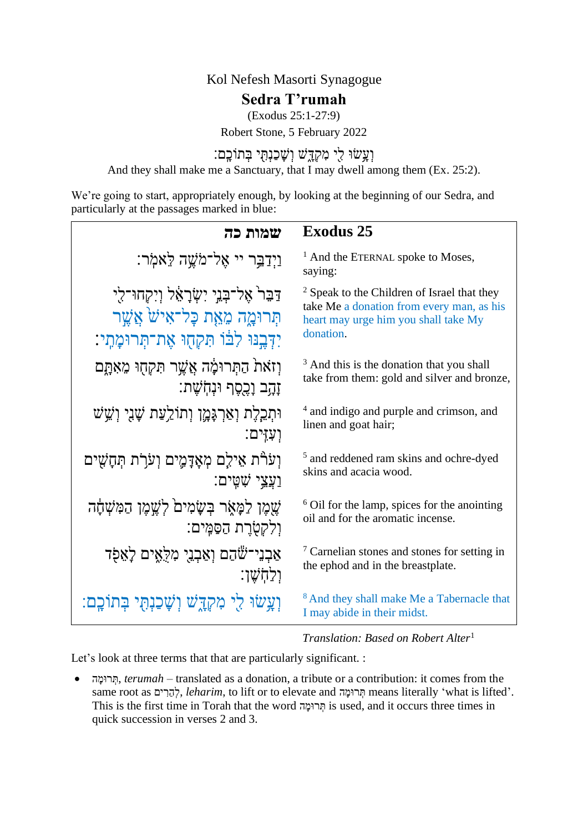## Kol Nefesh Masorti Synagogue

# **Sedra T'rumah**

(Exodus 25:1-27:9)

Robert Stone, 5 February 2022

וְעָ<sup>ּ</sup>שׂוּ לִי מִקְדֶּשׁ וְשָׁכַנְתְּי בְּתוֹכָָם: And they shall make me a Sanctuary, that I may dwell among them (Ex. 25:2).

We're going to start, appropriately enough, by looking at the beginning of our Sedra, and particularly at the passages marked in blue:

| שמות כה                                                                                                                           | <b>Exodus 25</b>                                                                                                                                         |
|-----------------------------------------------------------------------------------------------------------------------------------|----------------------------------------------------------------------------------------------------------------------------------------------------------|
| וַיְדַבֵּר יי אֶל־מֹשֶׁה לֵאמְר:                                                                                                  | <sup>1</sup> And the ETERNAL spoke to Moses,<br>saying:                                                                                                  |
| דַּבֵּר אֱל־בְּנֵי יִשְׂרָאֵל וְיִקְחוּ־לִי<br>תִּרוּמֲה מֵאֵת כָּל־אִישׁׂ אֲשֶׁר<br>יִדְּבֶנּוּ לְבוֹ תִּקְחָוּ אֶת־תְּרוּמָתִי: | <sup>2</sup> Speak to the Children of Israel that they<br>take Me a donation from every man, as his<br>heart may urge him you shall take My<br>donation. |
| וְזֹאת הַתְּרוּמָׂה אֲשֶׁר תִּקְחָוּ מֵאָתֲם                                                                                      | <sup>3</sup> And this is the donation that you shall                                                                                                     |
| זָהָב וָכֶפֶף וּנְחִשָׁת:                                                                                                         | take from them: gold and silver and bronze,                                                                                                              |
| וּתְכֵלֶת וְאַרְגָּמֶן וְתוֹלֵעַת שָׁגִי וְשֵׁשׁ                                                                                  | <sup>4</sup> and indigo and purple and crimson, and                                                                                                      |
| וִעְזִים:                                                                                                                         | linen and goat hair;                                                                                                                                     |
| וִעֹרָת אֵילֵם מְאָדָמֶים וְעֹרָת תְּחָשִׁים                                                                                      | <sup>5</sup> and reddened ram skins and ochre-dyed                                                                                                       |
| <u>וַעֲצֵי שָׁ</u> ױַם:                                                                                                           | skins and acacia wood.                                                                                                                                   |
| שֶׁמֶן לַמָּאֶר בִּשָׂמִים לְשֶׁמֶן הַמִּשָּׁחָה                                                                                  | <sup>6</sup> Oil for the lamp, spices for the anointing                                                                                                  |
| וְלִקְטָׂרֶת הַסַּמֵּים:                                                                                                          | oil and for the aromatic incense.                                                                                                                        |
| אַבְנֵי־שֶׁהַם וְאַבְנֵי מִלָּאֵים לָאֵפָר                                                                                        | <sup>7</sup> Carnelian stones and stones for setting in                                                                                                  |
| וַלַחִשְׁוּ                                                                                                                       | the ephod and in the breastplate.                                                                                                                        |
| וְעֲשׂוּ לִי מִקְדֶשׁ וְשָׁכַנְתָּי בְּתוֹכֶם:                                                                                    | <sup>8</sup> And they shall make Me a Tabernacle that<br>I may abide in their midst.                                                                     |

*Translation: Based on Robert Alter*<sup>1</sup>

Let's look at three terms that that are particularly significant. :

• ה ָׁומּר ְת, *terumah* – translated as a donation, a tribute or a contribution: it comes from the same root as יְהֵרִים, *leharim*, to lift or to elevate חִרוּמָה means literally 'what is lifted'. This is the first time in Torah that the word ה ָׁומּר ְת is used, and it occurs three times in quick succession in verses 2 and 3.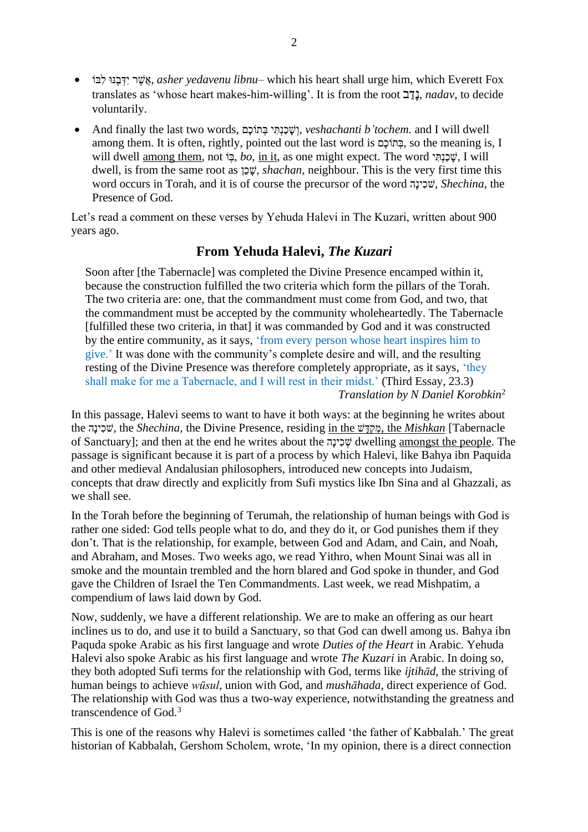- וֹבִל וּנֶּב ְדִי ר ֶשֲׁא, *asher yedavenu libnu* which his heart shall urge him, which Everett Fox translates as 'whose heart makes-him-willing'. It is from the root **ב־בן,** *nadav*, to decide voluntarily.
- And finally the last two words, םָׁוכֹת ְב י ִתְנַכ ָׁשְׁו*, veshachanti b'tochem.* and I will dwell among them. It is often, rightly, pointed out the last word is םָׁוכֹת ְב, so the meaning is, I will dwell among them, not הָ *i, bo*, in it, as one might expect. The word יָשְׁכָנָהְ I will dwell, is from the same root as  $\psi$ , *shachan*, neighbour. This is the very first time this word occurs in Torah, and it is of course the precursor of the word שִׁכְינַה, *Shechina*, the Presence of God.

Let's read a comment on these verses by Yehuda Halevi in The Kuzari, written about 900 years ago.

### **From Yehuda Halevi,** *The Kuzari*

Soon after [the Tabernacle] was completed the Divine Presence encamped within it, because the construction fulfilled the two criteria which form the pillars of the Torah. The two criteria are: one, that the commandment must come from God, and two, that the commandment must be accepted by the community wholeheartedly. The Tabernacle [fulfilled these two criteria, in that] it was commanded by God and it was constructed by the entire community, as it says, 'from every person whose heart inspires him to give.' It was done with the community's complete desire and will, and the resulting resting of the Divine Presence was therefore completely appropriate, as it says, 'they shall make for me a Tabernacle, and I will rest in their midst.' (Third Essay, 23.3) *Translation by N Daniel Korobkin* 2

In this passage, Halevi seems to want to have it both ways: at the beginning he writes about the *היי*כינה, the *Shechina*, the Divine Presence, residing in the *שׂקדּ*שׁ, the *Mishkan* [Tabernacle] of Sanctuary]; and then at the end he writes about the הָׁינ ִכ ְשׁ dwelling amongst the people. The passage is significant because it is part of a process by which Halevi, like Bahya ibn Paquida and other medieval Andalusian philosophers, introduced new concepts into Judaism, concepts that draw directly and explicitly from Sufi mystics like Ibn Sina and al Ghazzali, as we shall see.

In the Torah before the beginning of Terumah, the relationship of human beings with God is rather one sided: God tells people what to do, and they do it, or God punishes them if they don't. That is the relationship, for example, between God and Adam, and Cain, and Noah, and Abraham, and Moses. Two weeks ago, we read Yithro, when Mount Sinai was all in smoke and the mountain trembled and the horn blared and God spoke in thunder, and God gave the Children of Israel the Ten Commandments. Last week, we read Mishpatim, a compendium of laws laid down by God.

Now, suddenly, we have a different relationship. We are to make an offering as our heart inclines us to do, and use it to build a Sanctuary, so that God can dwell among us. Bahya ibn Paquda spoke Arabic as his first language and wrote *Duties of the Heart* in Arabic. Yehuda Halevi also spoke Arabic as his first language and wrote *The Kuzari* in Arabic. In doing so, they both adopted Sufi terms for the relationship with God, terms like *ijtihād*, the striving of human beings to achieve *wūsul*, union with God, and *mushāhada*, direct experience of God. The relationship with God was thus a two-way experience, notwithstanding the greatness and transcendence of God.<sup>3</sup>

This is one of the reasons why Halevi is sometimes called 'the father of Kabbalah.' The great historian of Kabbalah, Gershom Scholem, wrote, 'In my opinion, there is a direct connection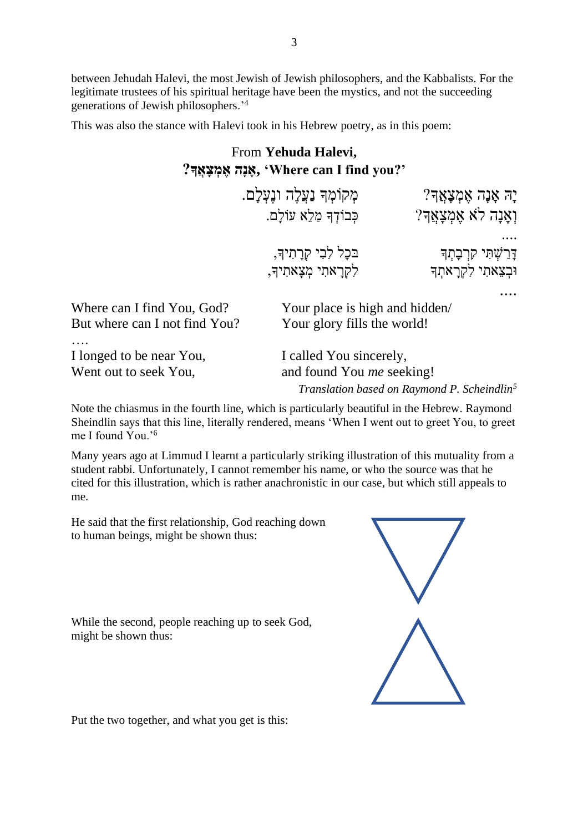between Jehudah Halevi, the most Jewish of Jewish philosophers, and the Kabbalists. For the legitimate trustees of his spiritual heritage have been the mystics, and not the succeeding generations of Jewish philosophers.'<sup>4</sup>

This was also the stance with Halevi took in his Hebrew poetry, as in this poem:

## From **Yehuda Halevi, '?you find I can Where ',אָ נָה אֶ מְ צָ אֲָך?**

|                                                             | מְקוֹמְךָ נַעֲלֶה ונֶעְלַם.<br>כִּבוֹדָךָ מַלֵא עוֹלַם.                                                                | יָה אָנָה אֶמְצָאֲדִ?<br>וְאֲנָה לֹא אֶמְצָאֲךָ? |
|-------------------------------------------------------------|------------------------------------------------------------------------------------------------------------------------|--------------------------------------------------|
|                                                             | בּכָל לִבִי קְרָתִיךָ,<br>לִקְרַאתִי מִצַאתִיךָ,                                                                       | דָּרַשְׁתִּי קִרְבָהְד<br>וּבִצֵאתִי לִקְרַאתִך  |
| Where can I find You, God?<br>But where can I not find You? | Your place is high and hidden/<br>Your glory fills the world!                                                          |                                                  |
| I longed to be near You,<br>Went out to seek You,           | I called You sincerely,<br>and found You <i>me</i> seeking!<br>Translation based on Raymond P. Scheindlin <sup>5</sup> |                                                  |

Note the chiasmus in the fourth line, which is particularly beautiful in the Hebrew. Raymond Sheindlin says that this line, literally rendered, means 'When I went out to greet You, to greet me I found You.'<sup>6</sup>

Many years ago at Limmud I learnt a particularly striking illustration of this mutuality from a student rabbi. Unfortunately, I cannot remember his name, or who the source was that he cited for this illustration, which is rather anachronistic in our case, but which still appeals to me.

He said that the first relationship, God reaching down to human beings, might be shown thus:

While the second, people reaching up to seek God, might be shown thus:



Put the two together, and what you get is this: